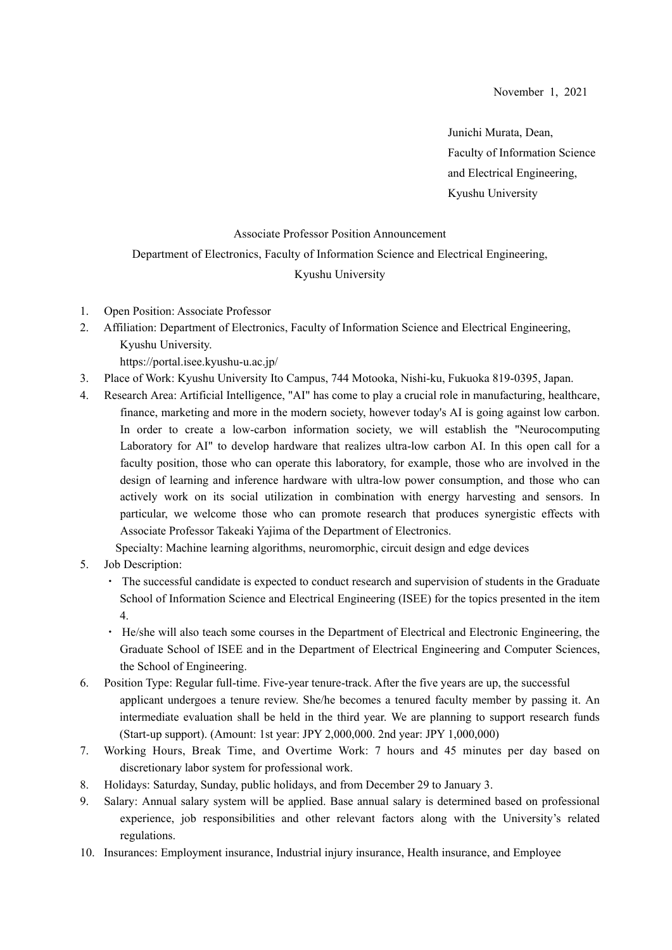Junichi Murata, Dean, Faculty of Information Science and Electrical Engineering, Kyushu University

## Associate Professor Position Announcement

## Department of Electronics, Faculty of Information Science and Electrical Engineering,

## Kyushu University

- 1. Open Position: Associate Professor
- 2. Affiliation: Department of Electronics, Faculty of Information Science and Electrical Engineering, Kyushu University. https://portal.isee.kyushu-u.ac.jp/
- 3. Place of Work: Kyushu University Ito Campus, 744 Motooka, Nishi-ku, Fukuoka 819-0395, Japan.
- 4. Research Area: Artificial Intelligence, "AI" has come to play a crucial role in manufacturing, healthcare, finance, marketing and more in the modern society, however today's AI is going against low carbon. In order to create a low-carbon information society, we will establish the "Neurocomputing Laboratory for AI" to develop hardware that realizes ultra-low carbon AI. In this open call for a faculty position, those who can operate this laboratory, for example, those who are involved in the design of learning and inference hardware with ultra-low power consumption, and those who can actively work on its social utilization in combination with energy harvesting and sensors. In particular, we welcome those who can promote research that produces synergistic effects with Associate Professor Takeaki Yajima of the Department of Electronics.

Specialty: Machine learning algorithms, neuromorphic, circuit design and edge devices

- 5. Job Description:
	- ・ The successful candidate is expected to conduct research and supervision of students in the Graduate School of Information Science and Electrical Engineering (ISEE) for the topics presented in the item 4.
	- ・ He/she will also teach some courses in the Department of Electrical and Electronic Engineering, the Graduate School of ISEE and in the Department of Electrical Engineering and Computer Sciences, the School of Engineering.
- 6. Position Type: Regular full-time. Five-year tenure-track. After the five years are up, the successful applicant undergoes a tenure review. She/he becomes a tenured faculty member by passing it. An intermediate evaluation shall be held in the third year. We are planning to support research funds (Start-up support). (Amount: 1st year: JPY 2,000,000. 2nd year: JPY 1,000,000)
- 7. Working Hours, Break Time, and Overtime Work: 7 hours and 45 minutes per day based on discretionary labor system for professional work.
- 8. Holidays: Saturday, Sunday, public holidays, and from December 29 to January 3.
- 9. Salary: Annual salary system will be applied. Base annual salary is determined based on professional experience, job responsibilities and other relevant factors along with the University's related regulations.
- 10. Insurances: Employment insurance, Industrial injury insurance, Health insurance, and Employee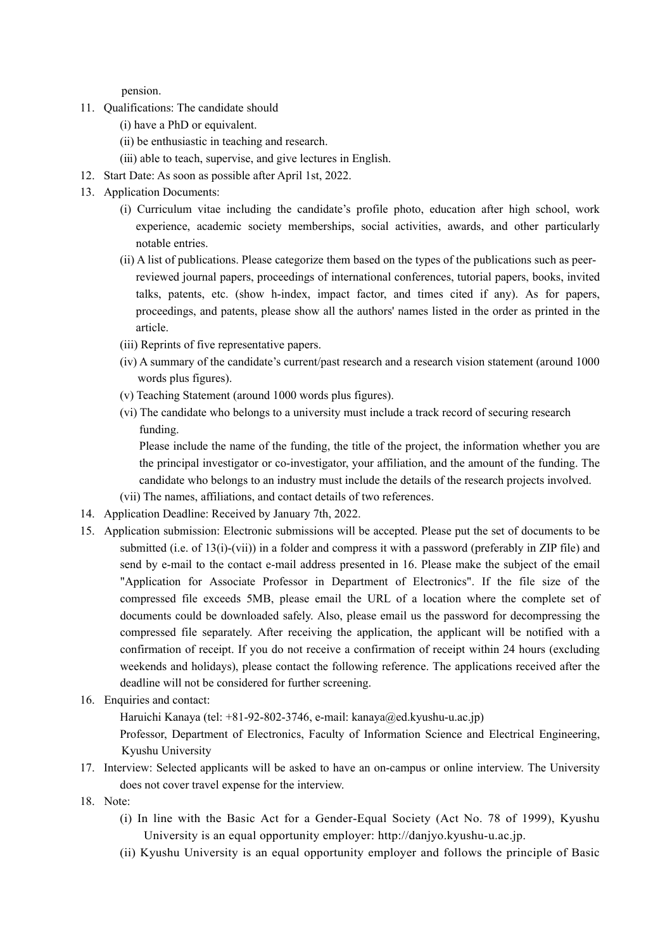pension.

- 11. Qualifications: The candidate should
	- (i) have a PhD or equivalent.
	- (ⅱ) be enthusiastic in teaching and research.
	- (ⅲ) able to teach, supervise, and give lectures in English.
- 12. Start Date: As soon as possible after April 1st, 2022.
- 13. Application Documents:
	- (i) Curriculum vitae including the candidate's profile photo, education after high school, work experience, academic society memberships, social activities, awards, and other particularly notable entries.
	- (ii) A list of publications. Please categorize them based on the types of the publications such as peerreviewed journal papers, proceedings of international conferences, tutorial papers, books, invited talks, patents, etc. (show h-index, impact factor, and times cited if any). As for papers, proceedings, and patents, please show all the authors' names listed in the order as printed in the article.
	- (iii) Reprints of five representative papers.
	- (iv) A summary of the candidate's current/past research and a research vision statement (around 1000 words plus figures).
	- (v) Teaching Statement (around 1000 words plus figures).
	- (vi) The candidate who belongs to a university must include a track record of securing research funding.

Please include the name of the funding, the title of the project, the information whether you are the principal investigator or co-investigator, your affiliation, and the amount of the funding. The candidate who belongs to an industry must include the details of the research projects involved.

- (vii) The names, affiliations, and contact details of two references.
- 14. Application Deadline: Received by January 7th, 2022.
- 15. Application submission: Electronic submissions will be accepted. Please put the set of documents to be submitted (i.e. of 13(i)-(vii)) in a folder and compress it with a password (preferably in ZIP file) and send by e-mail to the contact e-mail address presented in 16. Please make the subject of the email "Application for Associate Professor in Department of Electronics". If the file size of the compressed file exceeds 5MB, please email the URL of a location where the complete set of documents could be downloaded safely. Also, please email us the password for decompressing the compressed file separately. After receiving the application, the applicant will be notified with a confirmation of receipt. If you do not receive a confirmation of receipt within 24 hours (excluding weekends and holidays), please contact the following reference. The applications received after the deadline will not be considered for further screening.
- 16. Enquiries and contact:

Haruichi Kanaya (tel: +81-92-802-3746, e-mail: kanaya@ed.kyushu-u.ac.jp)

Professor, Department of Electronics, Faculty of Information Science and Electrical Engineering, Kyushu University

- 17. Interview: Selected applicants will be asked to have an on-campus or online interview. The University does not cover travel expense for the interview.
- 18. Note:
	- (i) In line with the Basic Act for a Gender-Equal Society (Act No. 78 of 1999), Kyushu University is an equal opportunity employer: http://danjyo.kyushu-u.ac.jp.
	- (ii) Kyushu University is an equal opportunity employer and follows the principle of Basic